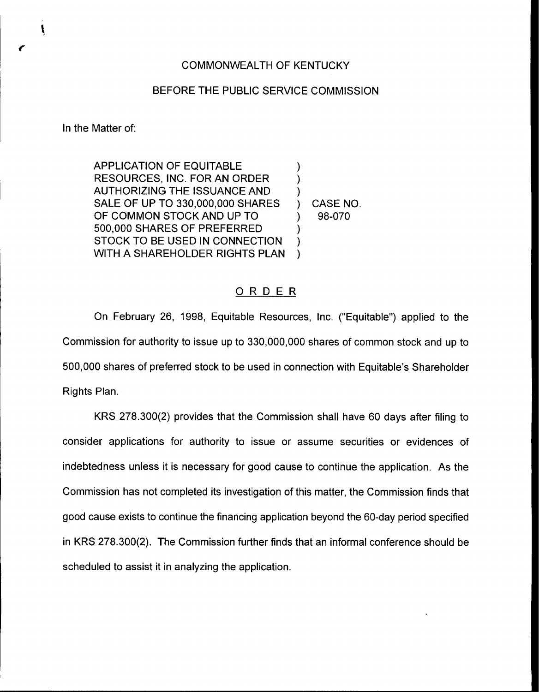## COMMONWEALTH OF KENTUCKY

## BEFORE THE PUBLIC SERVICE COMMISSION

In the Matter of:

 $\mathbf{I}$ 

APPLICATION OF EQUITABLE RESOURCES, INC. FOR AN ORDER AUTHORIZING THE ISSUANCE AND SALE OF UP TO 330,000,000 SHARES OF COMMON STOCK AND UP TO 500,000 SHARES OF PREFERRED STOCK TO BE USED IN CONNECTION WITH A SHAREHOLDER RIGHTS PLAN ) ) ) ) CASE NO. ) 98-070 ) ) )

## ORDER

On February 26, 1998, Equitable Resources, Inc. ("Equitable") applied to the Commission for authority to issue up to 330,000,000 shares of common stock and up to 500,000 shares of preferred stock to be used in connection with Equitable's Shareholder Rights Plan.

KRS 278.300(2) provides that the Commission shall have 60 days after filing to consider applications for authority to issue or assume securities or evidences of indebtedness unless it is necessary for good cause to continue the application. As the Commission has not completed its investigation of this matter, the Commission finds that good cause exists to continue the financing application beyond the 60-day period specified in KRS 278.300(2). The Commission further finds that an informal conference should be scheduled to assist it in analyzing the application.